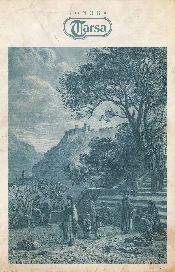

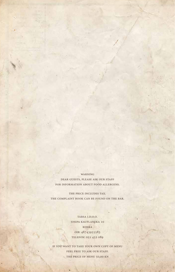WARNING

DEAR GUESTS, PLEASE ASK OUR STAFF FOR INFORMATION ABOUT FOOD ALLERGENS.

THE PRICE INCLUDES TAX. THE COMPLAINT BOOK CAN BE FOUND ON THE BAR.

> TARSA J.D.O.O. josipa kauflaneka 10 rijeka OIB: 48743955583 TELEFON: 051 452 089

if you want to take your own copy of menu FEEL FREE TO ASK OUR STAFF. THE PRICE OF MENU 50,00 KN

At S 132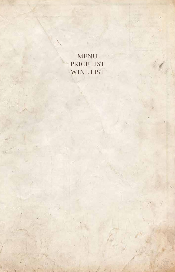MENU PRICE LIST WINE LIST

 $\frac{1}{2}$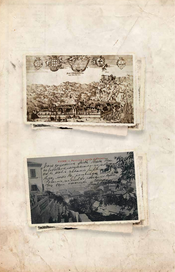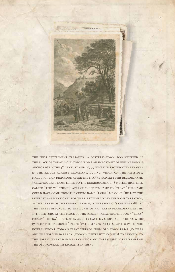

the first settlement tarsatica, a fortress-town, was situated in the place of today`s old town it was an important defensive roman ANCHORAGE IN THE 4<sup>TH</sup> CENTURY, AND IN 799 IT WAS DESTROYED BY THE FRANKS in the battle against croatians, during which on the hillsides, marcgrof erik died. soon after the franks had left this region, name tarsatica was transferred to the neighbouring 138 meters high hill called ˝tersat˝, which later changed its name to ˝trsat.˝ the name could have come from the celtic name ˝tarsa˝ meaning "hill by the river". it was mentioned for the first time under the name tarsatica, as the center of the vinodol parish, in the vinodol's code in 1288. at the time it belonged to the dukes of krk, later frankopans. in the 13th century, at the place of the former tarsatica, the town "reka" (today's rijeka) developed, and its castles, shops and streets were part of the habsburgs' teritory from 1466 to 1918, with some minor interruptions. today's trsat spreads from old town trsat (castle) and the former barrack (today's university campus) to strmica to the north. the old names tarsatica and tarsa kept in the names of the old popular restaurants in trsat.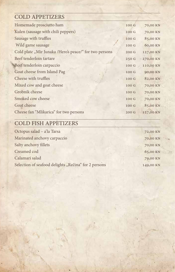# COLD APPETIZERS

| Homemade prosciutto ham                                 | 100 G | 70,00 KN  |
|---------------------------------------------------------|-------|-----------|
| Kulen (sausage with chili peppers)                      | 100 G | 70,00 KN  |
| Sausage with truffles                                   | 100 G | 85,00 KN  |
| Wild game sausage                                       | 100 G | 60,00 KN  |
| Cold plate "Mir Junaka / Hero's peace/" for two persons | 200 G | 127,00 KN |
| Beef tenderloin tartare                                 | 250 G | 270,00 KN |
| Beef tenderloin carpaccio                               | 100 G | 110,00 KN |
| Goat cheese from Island Pag                             | 100 G | 90,00 KN  |
| Cheese with truffles                                    | 100 G | 82,00 KN  |
| Mixed cow and goat cheese                               | 100 G | 70,00 KN  |
| Grobnik cheese                                          | 100 G | 70,00 KN  |
| Smoked cow cheese                                       | 100 G | 70,00 KN  |
| Goat cheese                                             | 100 G | 85,00 KN  |
| Cheese fan "Mlikarica" for two persons                  | 200 G | 127,00 KN |

 $\sim$ 

# COLD FISH APPETIZERS

 $\lambda$ 

| Octopus salad - a'la Tarsa                           | 72,00 KN  |
|------------------------------------------------------|-----------|
| Marinated anchovy carpaccio                          | 70,00 KN  |
| Salty anchovy fillets                                | 70,00 KN  |
| Creamed cod                                          | 65,00 KN  |
| Calamari salad                                       | 79,00 KN  |
| Selection of seafood delights "Rečina" for 2 persons | 149,00 KN |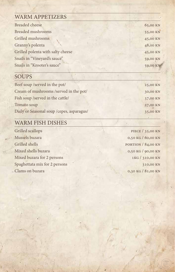# WARM APPETIZERS

| Breaded cheese                    | 65,00 KN |
|-----------------------------------|----------|
| <b>Breaded mushrooms</b>          | 55,00 KN |
| Grilled mushrooms                 | 45,00 KN |
| Granny's polenta                  | 48,00 KN |
| Grilled polenta with salty cheese | 45,00 KN |
| Snails in "Vineyard's sauce"      | 59,00 KN |
| Snails in "Krooter's sauce"       | 59,00 KN |
|                                   |          |

## SOUPS

 $\sim$ 

| Beef soup /served in the pot/              | 25,00 KN |
|--------------------------------------------|----------|
| Cream of mushrooms /served in the pot/     | 30,00 KN |
| Fish soup /served in the cattle/           | 37,00 KN |
| Tomato soup                                | 27,00 KN |
| Daily or Seasonal soup / cepes, asparagus/ | 35,00 KN |

×

# WARM FISH DISHES

| Grilled scallops              | PIECE / 35,00 KN   |
|-------------------------------|--------------------|
| Mussels buzara                | 0,50 KG / 60,00 KN |
| Grilled shells                | PORTION / 84,00 KN |
| Mixed shells buzara           | 0,50 KG / 90,00 KN |
| Mixed buzara for 2 persons    | 1KG / 310,00 KN    |
| Spaghettata mix for 2 persons | 310,00 KN          |
| Clams on buzara               | 0,30 KG / 81,00 KN |
|                               |                    |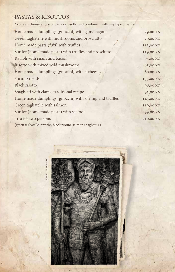# PASTAS & RISOTTOS

| * you can choose a type of pasta or risotto and combine it with any type of sauce |           |
|-----------------------------------------------------------------------------------|-----------|
| Home made dumplings (gnocchi) with game ragout                                    | 79,00 KN  |
| Green tagliatelle with mushrooms and prosciutto                                   | 79,00 KN  |
| Home made pasta (fuži) with truffles                                              | 113,00 KN |
| Surlice (home made pasta) with truffles and prosciutto                            | 119,00 KN |
| Ravioli with snails and bacon                                                     | 95,00 KN  |
| Risotto with mixed wild mushrooms                                                 | 85,00 KN  |
| Home made dumplings (gnocchi) with 4 cheeses                                      | 80,00 KN  |
| Shrimp risotto                                                                    | 135,00 KN |
| <b>Black risotto</b>                                                              | 98,00 KN  |
| Spaghetti with clams, traditional recipe                                          | 95,00 KN  |
| Home made dumplings (gnocchi) with shrimp and truffles                            | 145,00 KN |
| Green tagliatelle with salmon                                                     | 119,00 KN |
| Šurlice (home made pasta) with seafood                                            | 99,00 KN  |
| Trio for two persons                                                              | 210,00 KN |
| (green tagliatelle, prawns, black risotto, salmon spaghetti))                     |           |

 $-10$ 



IVAN LENKOVIĆ ivan lenković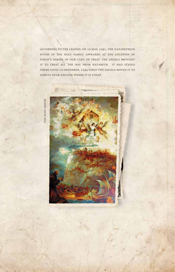according to the legend, on 10 may, 1291, the nazarethian house of the holy family appeared at the location of today's shrine of our lady of trsat. the angels brought it to trsat all the way from nazareth. it had stayed there until 10 december, 1294 when the angels moved it to LORETO NEAR ANCONA WHERE IT IS TODAY.



THE HOLY HOUSE the holy house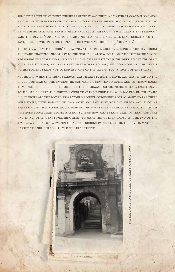some time after that event, the ruler of trsat was the duke martin frankopan. knowing that many pilgrims wanted to come to trsat to the shrine of our lady, he wanted to build a stairway from rijeka to trsat, but he couldn't find masons who would do it. he was desperate when devil himself knocked at his door. "i will create the stairway." said the devil, "you have to promise me that the stairs will lead directly to the tavern, and i will provide to place the tavern at the end of the stairs."

the duke, who at first didn't know what to answer, agreed, as long as the devil built the stairs that were necessary to the people. he also went to ask the priests for advice regarding the work that had to be done. the priests told the duke to let the devil build the stairway, and that they would pray to god, and god would fulfill their wishes for the stairs not to end in front of the tavern, but in front of the shrine.

at the end, when the trsat stairway was finally built, the devil saw that it led to the church instead of the tavern! he was mad; he started to curse and to throw rocks that were lined up for finishing up the stairway. furthermore, when a small devil told him he heard the priests saying that each christian who walked up the stairs on his knees all the way to trsat would receive forgiveness for as many sins as there were stairs, devil damned his own work and said that not one person would count the stairs, so that noone would find out how many stairs there were exactly. this is why even today many people are not sure of how many stairs lead to trsat. some say one thing, others say something else. to make things even worse, at the end of the stairway, you can see a tavern today. the ground particle where the tavern was build carries the number 666. that is the real truth!



the entrance to the trsat's stairs from the townENTRANCE TO THE TRSAT'S STAIRS FROM THE TOW

THE I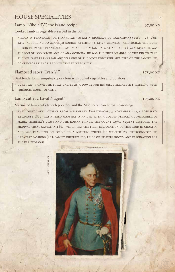### HOUSE SPECIALITIES

### Lamb "Nikola IV", the island recipe 97,00 KN

Cooked lamb in vegetables- served in the pot

nikola iv frankapan or frankopan (in latin nicolaus de frangepan) (1360 – 26 june, 1432; according to another source after 1352-1432), croatian aristocrat, the duke of krk from the frankopan family, and croatian-dalmatian banus (1426-1432). he was the son of ivan krcki and of ana goricka. he was the first member of the kin to take the surname frankapan and was one of the most powerful members of the family. his contemporaries called him "the duke mikula".

#### Flambéed saber "Ivan V" 175,00 KN

Beef tenderloin, rumpsteak, pork loin with boiled vegetables and potatoes

duke ivan v gave the trsat castle as a dowry for his niece elizabeth's wedding with fridrich, count of celje.

#### Lamb cutlet "Laval Nugent" 195,00 kN

Marinated lamb cutlets with potatoes and the Mediterranean herbal seasonings

the count laval nugent from westmeath (ballynacor, 3 november 1777- bosiljevo, 22 august 1862) was a field marshal, a knight with a golden fleece, a commander of maria theresia's class and the roman prince. the count laval nugent restored the medival trsat castle in 1837, which was the first restoration of this kind in croatia, and was planning on founding a museum, where he wanted to interconnect his greatest passions (art, family inheritance, pride of his deep roots, and fascination for THE FRANKOPANS).

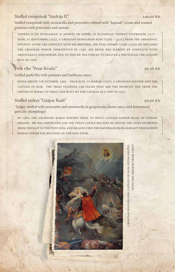#### Stuffed rumpsteak "Andrija II" 140,00 KN

Stuffed rumpsteak with mozzarella and prosciutto refined with "kajmak" cream and roasted potatoes with prosciutto and onions

andrija ii (in hungarian: ii andrás or endre, in slovakian: ondrej) (ostrogon, 1177 eger, 21 september,1235), a croatian-hungarian king (1205 - 1235) from the arpadovic dynasty. aftre the conflict with his brother, the king emerik (1196-1204), he obtained the croatian honor (hercestvo) in 1197. his reign was marked by conflicts with aristocracy and nobles, due to this he was forced to deliver a priviledge the golden bull in 1222.

### Pork ribs "Petar Kružić" 95,00 kN

Grilled pork ribs with potatoes and barbecue sauce

petar kruzic (16 october, 1491 - near klis, 12 march, 1537), a croatian soldier and the captain of klis. the trsat stairway, 539 stairs that are the shortest way from the center of rijeka to trsat, was built by the captain as a vow in 1531.

#### Stuffed turkey "Gašpar Raab" 95,00 KN

 Turkey stuffed with prosciutto and mozzarella in gorgonzola cheese sauce and homemade gnocchi (dumplings)

in 1582, the archduke karlo pawned trsat to senj's captain gaspar raab, of istrian origins. he was important for the trsat castle because he moved the main entrance from the east to the west side, and he also used the materials from already demolished ROMAN TOWER FOR BUILDING OF THE NEW DOOR.



croatian soldier and captain of klis, petar kružic, CAPTAIN OF KLIS, PETAR KRUŽIC, with the origens from trsatWITH THE ORIGENS FROM TRSAT ROATIAN SOLDIER AND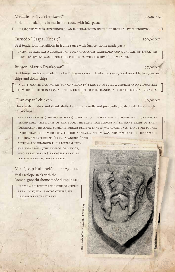#### Medallions "Ivan Lenković" 99,00 KN

Pork loin medallions in mushroom sauce with fuži-pasta

 $\Box$  IN 1563 TRSAT WAS MENTIONED AS AN IMPERIAL TOWN OWNED BY GENERAL IVAN LENKOVIC.

#### Turnedo "Gašpar Knežić" 209,00 kn

Beef tenderloin medallions in truffle sauce with šurlice (home made pasta)

gaspar knezic was a manager of town granaries, landlord and a captain of trsat. his house basement was depository for crops, which showed his wealth.

#### Burger "Martin Frankopan" 97,00 kn

Beef burger in home made bread with kajmak cream, barbecue sauce, fried rocket lettuce, bacon chips and dollar chips

in 1431, martin frankopan (son of nikola iv) started to build a church and a monastery that he finished in 1453, and then ceded it to the franciscans of the bosnian vikaries.

#### "Frankopan" chicken 89,00 kn

 $\mathcal{R}^{(1)}$ 

Chicken drumstick and shank stuffed with mozzarella and prosciutto, coated with bacon with dollar chips

the frankapans (the frankopans) were an old noble family, originally dukes from island krk. the dukes of krk took the name frankapans after many years of their presence in this area. some historians believe that it was a fashion at that time to take names that originated from the roman times. in that way, this family took the name of

the roman patricians ˝frangapanibus,˝ and afterwards changed their emblem into the two lions (the symbol of venice) who break bread (˝frangere pane˝ in italian means to break bread).

Veal "Josip Kulfanek" 112,00 kn

Veal escalope steak with the Roman`gnocchi (home made dumplings)

he was a relentless creator of green areas in rijeka. among others, he designed the trsat park.

> THE FRANKOPAN FAMILY EMBLEM the frankopan family emblem



**CALL**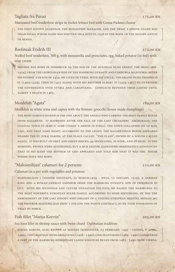#### Tagliata fra Pavao 175,00 kn

Marinated beef tenderloin strips in rocket lettuce bed with Grana Padano cheese

the first known guardian, the monastery manager, and the trsat`s shrine guard was friar pavao, whose name was written on 9 august, 1456 in the book of the notary antun de renna.

#### Beefsteak Fridrih III 272,00 KN

Stuffed beef tenderloin, 500 g, with mozzarella and prosciutto, egg, baked potatoe (in foil) with sour cream

fridrih was born in innsbruck as the son of the austrian duke ernest the iron(1406- 1424), from the leopoldian side of the habsburg dynasty and cimburga mazovska. after his father`s death in 1424, he lived in tyrol with his uncle, the grand duke friedrich iv (1402-1439), then in 1435 along with his brother albert vi (1424-1463) he overtook the governance over styria and carantania. conflicts between them lasted until albert`s death in 1463.

### Monkfish "Agata" 189,00 KN

Monkfish in white wine and capres with the Roman`gnocchi (home made dumplings)

the most famous legend is the one about the angels who carried the holy family house from nazareth. it happened after the fall of the last crusaders´ anchorage, the coastal town st. jean d`acre (today`s akkon in syria). the town collapsed on 10 may, 1291, and that same night, according to the leged, the nazarethian house appeared nearby the st. juraj parish, at the place called "the plain", owned by a widow called agata. it was built of grey and green bricks, 44 spans long, 20 wide, and 28 high. in the morning, people were astonished, but a sick pastor alexander immediately announced that in his sleep the mother of god appeared and told him that it was the house where jesus was born.

#### "Maksimilijan" calamari for 2 persons 210,00 kn

Calamari in a pot with vegetables and potatoes

maksimilijan i (wiener neustadt, 22 march,1459 - wels, 12 january, 1519), a german king and a roman-german emperor from the habsburg dynasty, son of friedrich iii (iv). with his weddings and clever dynastian politics, he raised the habsburgs to the most powerful european ruler family. according to some historians, he was the embodiment of the last knight who dreamt of a unified european medival monarchy. the emperor maksimilijan didn`t follow the pozun contract, so he took possession of TRSAT BY FORCE.

#### Fish fillet "Matija Korvin" 205,00 kn

Sea bass fillet in shrimp sauce with Swiss chard -Dalmatian tradition

matija korvin, also known as matijas (kolozsvár, 23 february, 1443 - vienna, 6 april, 1490), the croatian-hungarian king (1458 - 1490), chechantiking (1469 - 1490) conquered a part of the habsburg hereditary lands which he ruled from 1485– 1490 from vienna.

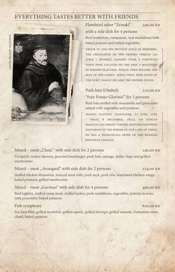### EVERYTHING TASTES BETTER WITH FRIENDS



Flambéed saber "Zrinski" 590,00 kn with a side dish for 4 persons

Beef tenderloin, rumpsteak, veal medallions with baked potaoes and boiled vegetables

grgur iv and his protégé juraj iii bribirski, the originator of the zrinski thread (as juraj i zrinski), handed over a fortified town zrin, located on the zrin`s mountain in former slavonia, which then became the seat of the family. since then, that scion of the subic family became the zrinski dukes.

### Pork loin (Ombol) 220,00 KN

"frair Franjo Glavinić" for 2 persons Pork loin stuffed with mozzarella and prosciutto sauted with vegetables and potatoes

franjo glavinic (kanfanar, 23 june, 1585 - trsat, 6 december, 1652), an istrian franciscian priest, writer, historiographer, historian of the shrine of our lady of trsat. he was a franciscian monk of the bosnian provence croatia.

#### Mixed – meat "Clasic" with side dish for 2 persons 190,00 KN

Ćevapčići, turkey skewers, gourmet hamburger, pork loin, sausage, dollar chips and grilled mushrooms

Mixed – meat "Avangard" with side dish for 2 persons 219,00 KN Stuffed chicken drumstick, minced meat rolls, pork neck, pork ribs, marinated chicken wings,

### Mixed – meat "Gurman" with side dish for 4 persons 490,00 KN

Beef tagliata, stuffed rump steak, stuffed turkey, pork medallions, vegetables, polenta in wine with prosciutto, baked potatoes

#### Fish symphony 620,00 KN

baked potatoes, grilled mushrooms

Sea bass fillet, grilled monkfish, grilled squids, grilled shrimps, grilled mussels, Dalmatian swiss chard, baked potatoes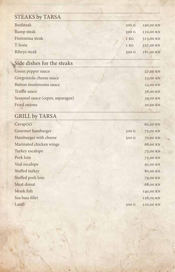# STEAKS by TARSA

|  | 300 G | 190,00 KN |
|--|-------|-----------|
|  | 300 G | 110,00 KN |
|  | 1KG   | 315,00 KN |
|  | 1 KG  | 327,00 KN |
|  | 300 G | 181,00 KN |
|  |       |           |

# Side dishes for the steaks

| Green pepper sauce                | 27,00 KN |
|-----------------------------------|----------|
| Gorgonzola cheese sauce           | 23,00 KN |
| Button mushrooms sauce            | 23,00 KN |
| Truffle sauce                     | 38,00 KN |
| Seasonal sauce (cepes, asparagus) | 39,00 KN |
| Fried onions                      | 20,00 KN |

# GRILL by TARSA

| Cevapčići               |       | 62,00 KN  |
|-------------------------|-------|-----------|
| Gourmet hamburger       | 300 G | 75,00 KN  |
| Hamburger with cheese   | 300 G | 70,00 KN  |
| Marinated chicken wings |       | 68,00 KN  |
| Turkey escalope         |       | 75,00 KN  |
| Pork loin               |       | 75,00 KN  |
| Veal escalope           |       | 95,00 KN  |
| Stuffed turkey          |       | 80,00 KN  |
| Stuffed pork loin       |       | 79,00 KN  |
| Meat donut              |       | 68,00 KN  |
| Monk fish               |       | 140,00 KN |
| Sea bass fillet         |       | 128,00 KN |
| Lamb                    | 300 G | 120,00 KN |
|                         |       |           |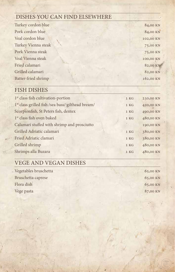## DISHES YOU CAN FIND ELSEWHERE

| Turkey cordon blue  | 84,00 KN  |
|---------------------|-----------|
| Pork cordon blue    | 84,00 KN  |
| Veal cordon blue    | 102,00 KN |
| Turkey Vienna steak | 75,00 KN  |
| Pork Vienna steak   | 75,00 KN  |
| Veal Vienna steak   | 100,00 KN |
| Fried calamari      | 82,00 KN  |
| Grilled calamari    | 82,00 KN  |
| Batter-fried shrimp | 162,00 KN |
|                     |           |

## FISH DISHES

| 1 <sup>st</sup> class fish cultivation-portion                | 1 KG | 230,00 KN |
|---------------------------------------------------------------|------|-----------|
| 1 <sup>st</sup> class grilled fish /sea bass/ gilthead bream/ | 1 KG | 420,00 KN |
| Scorpionfish, St Peters fish, dentex                          | 1 KG | 490,00 KN |
| 1 <sup>st</sup> class fish oven baked                         | 1 KG | 480,00 KN |
| Calamari stuffed with shrimp and prosciutto                   |      | 190,00 KN |
| Grilled Adriatic calamari                                     | 1KG  | 380,00 KN |
| Fried Adriatic clamari                                        | 1KG  | 380,00 KN |
| Grilled shrimp                                                | 1KG  | 480,00 KN |
| Shrimps alla Buzara                                           | 1 KG | 480,00 KN |
|                                                               |      |           |

# VEGE AND VEGAN DISHES

| Vegetables bruschetta | 65,00 KN |
|-----------------------|----------|
| Bruschetta caprese    | 65,00 KN |
| Flora dish            | 65,00 KN |
| Vege pasta            | 87,00 KN |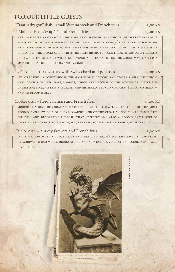### FOR OUR LITTLE GUESTS

### "Trsat`s dragon" dish– small Vienna steak and French fries 43,00 kn

" Malik" dish – ćevapčići and French fries 43,00 kN

he is small like a 5-year-old child, and very often he is handsome. he likes to wear blue pants and to put on a red hat. he will help a man in need, but he is also mischievous and leads people the wrong way if he finds them in the woods. he lives in wholes, in dirt, and in the cracks of big trees. he keeps his big fortune there. if someone throws a rock at his house, malik will seek revenge and lead a person the wrong way. malik is a mythological being of istra and kvarner.

#### "Leši" dish – turkey steak with Swiss chard and potatoes 43,00 kn

leši or lesnik – a forest ghost, the master of the woods and beasts, a shepherd whose herd consist of deer, does, rabbits, which are watched by the wolves or lynxes. His cheeks are blue, his eyes are green, and his beard is long and green. He has no shadow, and his blood is blue.

#### Morčić dish – fried calamari and French fries 43,00 KN

morčić is a kind of croatian autochthonous folk jewelry. it is one of the most recognizable symbols of rijeka, kvarner and of the croatian coast. along with its esthetic and decorative purpose, that jewelery was also a recognizable sign of identity, and of belonging to rijeka, kvarner, to the coastal region, in general.

#### "Jarilo" dish – turkey skewers and French fries 43,00 kn

jarilo – a god of spring vegetation and fertility, perun`s son, kidnapped by god veles. his arrival to our world brings spring and new energy, vegetation regeneration, and joy of life.



 dragon of trsatDRAGON OF TRSAT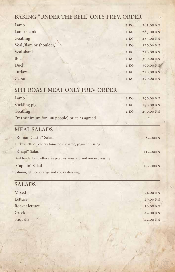## BAKING "UNDER THE BELL" ONLY PREV. ORDER

| Lamb                    | <b>1 KG</b> | 285,00 KN |
|-------------------------|-------------|-----------|
| Lamb shank              | 1 KG        | 285,00 KN |
| Goatling                | 1 KG        | 285,00 KN |
| Veal /flam or shoulder/ | 1 KG        | 270,00 KN |
| Veal shank              | 1 KG        | 220,00 KN |
| Boar                    | 1 KG        | 300,00 KN |
| Duck                    | 1 KG        | 300,00 KN |
| Turkey                  | 1 KG        | 220,00 KN |
| Capon                   | 1 KG        | 220,00 KN |
|                         |             |           |

### SPIT ROAST MEAT ONLY PREV ORDER

| Lamb                                        | 1 KG | 290,00 KN |
|---------------------------------------------|------|-----------|
| Suckling pig                                | 1 KG | 190,00 KN |
| Goatling                                    | 1 KG | 290,00 KN |
| Ox (minimum for 100 people) price as agreed |      |           |

 $2.2\%$ 

## MEAL SALADS

| "Roman Castle" Salad                                             | 82,00KN  |
|------------------------------------------------------------------|----------|
| Turkey, lettuce, cherry tomatoes, sesame, yogurt dressing        |          |
| "Knapi" Salad                                                    | 112,00KN |
| Beef tenderloin, lettuce, vegetables, mustard and onion dressing |          |
| "Captain" Salad                                                  | 107,00KN |
| Salmon, lettuce, orange and vodka dressing                       |          |

## SALADS

 $\mathcal{R}^{\downarrow}$ 

| Mixed                | 24,00 KN |
|----------------------|----------|
| Lettuce              | 29,00 KN |
| Rocket lettuce       | 30,00 KN |
| Greek                | 42,00 KN |
| Shopska<br>$\bullet$ | 42,00 KN |
|                      |          |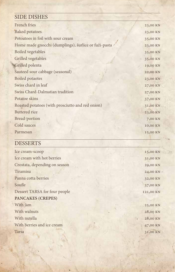# SIDE DISHES

| <b>French fries</b>                                  | 23,00 KN |
|------------------------------------------------------|----------|
| <b>Baked potatoes</b>                                | 23,00 KN |
| Potoatoes in foil with sour cream                    | 35,00 KN |
| Home made gnocchi (dumplings), šurlice or fuži-pasta | 23,00 KN |
| <b>Boiled</b> vegetables                             | 35,00 KN |
| <b>Grilled vegetables</b>                            | 35,00 KN |
| Grilled polenta                                      | 19,00 KN |
| Sauteed sour cabbage (seasonal)                      | 22,00 KN |
| <b>Boiled</b> potaotes                               | 23,00 KN |
| Swiss chard in leaf                                  | 27,00 KN |
| Swiss Chard-Dalmatian tradition                      | 27,00 KN |
| Potatoe skins                                        | 37,00 KN |
| Roasted potatoes (with prosciutto and red onion)     | 31,00 KN |
| <b>Buttered</b> rice                                 | 23,00 KN |
| <b>Bread-portion</b>                                 | 7,00 KN  |
| Cold sauces                                          | 10,00 KN |
| Parmesan                                             | 15,00 KN |
|                                                      |          |

 $-34$ 

# **DESSERTS**

| Ice cream-scoop               | 15,00 KN  |
|-------------------------------|-----------|
| Ice cream with hot berries    | 31,00 KN  |
| Crostata, depending on season | 29,00 KN  |
| Tiramisu                      | 24,00 KN  |
| Panna cotta berries           | 32,00 KN  |
| Soufle                        | 37,00 KN  |
| Dessert TARSA for four people | 121,00 KN |
| <b>PANCAKES (CREPES)</b>      |           |
| With jam                      | 25,00 KN  |
| With walnuts                  | 28,00 KN  |
| With nutella                  | 28,00 KN  |
| With berries and ice cream    | 47,00 KN  |
| Tarsa                         | 31,00 KN  |
|                               |           |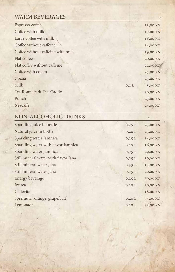# WARM BEVERAGES

| Espresso coffee                   |       | 13,00 KN |
|-----------------------------------|-------|----------|
| Coffee with milk                  |       | 17,00 KN |
| Large coffee with milk            |       | 18,00 KN |
| Coffee without caffeine           |       | 14,00 KN |
| Coffee without caffeine with milk |       | 19,00 KN |
| Flat coffee                       |       | 20,00 KN |
| Flat coffee without caffeine      |       | 22,00 KN |
| Coffee with cream                 |       | 25,00 KN |
| Cocoa                             |       | 25,00 KN |
| Milk                              | 0,1 L | 5,00 KN  |
| Tea Ronnefeldt Tea-Caddy          |       | 20,00 KN |
| Punch                             |       | 25,00 KN |
| Nescaffe                          |       | 25,00 KN |
|                                   |       |          |

# NON-ALCOHOLIC DRINKS

| Sparkling juice in bottle            | 0,25 L   | 23,00 KN |
|--------------------------------------|----------|----------|
| Natural juice in bottle              | 0,20 L   | 23,00 KN |
| Sparkling water Jamnica              | 0,25 L   | 14,00 KN |
| Sparkling water with flavor Jamnica  | 0,25 L   | 16,00 KN |
| Sparkling water Jamnica              | $0,75$ L | 29,00 KN |
| Still mineral water with flavor Jana | 0,25 L   | 16,00 KN |
| Still mineral water Jana             | 0,33 L   | 14,00 KN |
| Still mineral water Jana             | 0,75 L   | 29,00 KN |
| <b>Energy beverage</b>               | 0,25 L   | 39,00 KN |
| Ice tea                              | 0,25 L   | 20,00 KN |
| Cedevita                             |          | 18,00 KN |
| Spremuta (orange, grapefruit)        | 0,20 L   | 35,00 KN |
| Lemonada                             | $0,20$ L | 33,00 KN |
|                                      |          |          |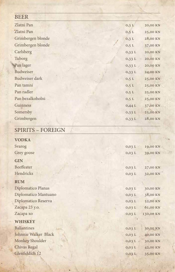| <b>BEER</b>       |          |          |
|-------------------|----------|----------|
| Zlatni Pan        | $0,3$ L  | 20,00 KN |
| Zlatni Pan        | $0,5$ L  | 25,00 KN |
| Grimbergen blonde | $0,3$ L  | 28,00 KN |
| Grimbergen blonde | 0,5 L    | 37,00 KN |
| Carlsberg         | $0,33$ L | 20,00 KN |
| Tuborg            | 0,33 L   | 20,00 KN |
| Pan lager         | 0,33L    | 20,00 KN |
| Budweiser         | 0,33 L   | 24,00 KN |
| Budweiser dark    | 0,5 L    | 25,00 KN |
| Pan tamni         | $0,5$ L  | 25,00 KN |
| Pan radler        | $0,5$ L  | 25,00 KN |
| Pan bezalkoholni  | $0,5$ L  | 25,00 KN |
| Guinness          | 0,44 L   | 37,00 KN |
| Somersby          | 0,33 L   | 25,00 KN |
| Grimbergen        | 0,33 L   | 28,00 KN |

# SPIRITS – FOREIGN

| <b>VODKA</b>           |          |           |
|------------------------|----------|-----------|
| Svarog                 | 0,03 L   | 19,00 KN  |
| Grey goose             | $0,03$ L | 39,00 KN  |
| <b>GIN</b>             |          |           |
| <b>Beeffeater</b>      | 0,03 L   | 27,00 KN  |
| Hendricks              | 0,03 L   | 32,00 KN  |
| <b>RUM</b>             |          |           |
| Diplomatico Planas     | 0,03 L   | 30,00 KN  |
| Diplomatico Mantuano   | 0,03 L   | 38,00 KN  |
| Diplomatico Reserva    | 0,03 L   | 52,00 KN  |
| Zacapa 23 y.o.         | 0,03 L   | 61,00 KN  |
| Zacapa xo              | 0,03 L   | 130,00 KN |
| <b>WHISKEY</b>         |          |           |
| <b>Ballantines</b>     | 0,03 L   | 30,00 KN  |
| Johnnie Walker Black   | 0,03 L   | 40,00 KN  |
| <b>Monkey Shoulder</b> | 0,03 L   | 30,00 KN  |
| <b>Chivas Regal</b>    | 0,03 L   | 42,00 KN  |
| Glenfiddich 12         | 0,03 L   | 35,00 KN  |
|                        |          |           |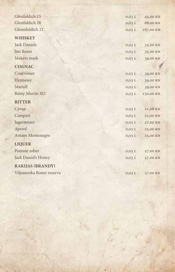| Glenfiddich 15           | 0,03 L | 45,00 KN  |
|--------------------------|--------|-----------|
| Glenfiddich 18           | 0,03 L | 68,00 KN  |
| Glennfiddich 21          | 0,03 L | 167,00 KN |
| <b>WHISKEY</b>           |        |           |
| <b>Jack Daniels</b>      | 0,03 L | 35,00 KN  |
| Jim Beam                 | 0,03 L | 35,00 KN  |
| Makers mark              | 0,03 L | 39,00 KN  |
| <b>COGNAC</b>            |        |           |
| Courvoiser               | 0,03 L | 39,00 KN  |
| Hennessy                 | 0,03 L | 39,00 KN  |
| Martell                  | 0,03 L | 39,00 KN  |
| Rémy Martin XO           | 0,03 L | 150,00 KN |
| <b>BITTER</b>            |        |           |
| Cynar                    | 0,03 L | 21,00 KN  |
| Campari                  | 0,03 L | 21,00 KN  |
| Jagermister              | 0,03 L | 27,00 KN  |
| Aperol                   | 0,03 L | 25,00 KN  |
| Amaro Montenegro         | 0,03 L | 25,00 KN  |
| <b>LIQUER</b>            |        |           |
| Pommé roher              | 0,03 L | 27,00 KN  |
| Jack Daniel's Honey      | 0,03 L | 27,00 KN  |
| <b>RAKIJAS (BRANDY)</b>  |        |           |
| Viljamovka Roner reserva | 0,03 L | 27,00 KN  |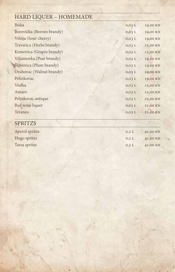| <b>HARD LIQUER - HOMEMADE</b> |         |          |
|-------------------------------|---------|----------|
| <b>Biska</b>                  | 0,03 L  | 19,00 KN |
| Borovička (Berries brandy)    | 0,03 L  | 19,00 KN |
| Višnja (Sour cherry)          | 0,03 L  | 19,00 KN |
| Travarica (Herbs brandy)      | 0,03 L  | 15,00 KN |
| Komovica (Grapes brandy)      | 0,03 L  | 15,00 KN |
| Viljamovka (Pear brandy)      | 0,03 L  | 19,00 KN |
| Šljivovica (Plum brandy)      | 0,03 L  | 19,00 KN |
| Orahovac (Walnut brandy)      | 0,03 L  | 19,00 KN |
| Pelinkovac                    | 0,03 L  | 19,00 KN |
| Vodka                         | 0,03 L  | 15,00 KN |
| Amaro                         | 0,03 L  | 15,00 KN |
| Pelinkovac antique            | 0,03 L  | 25,00 KN |
| Red wine liquer               | 0,03 L  | 21,00 KN |
| Teraneo                       | 0,03 L  | 21,00 KN |
|                               |         |          |
| <b>SPRITZS</b>                |         |          |
| Aperol spritzs                | $0,2$ L | 41,00 KN |
| Hugo spritzs                  | $0,2$ L | 41,00 KN |

Tarsa spritzs  $0,2$  l  $41,00$  kn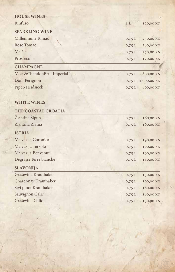| <b>HOUSE WINES</b>        |          |             |
|---------------------------|----------|-------------|
| Rinfuso                   | $1\,$ L  | 120,00 KN   |
| <b>SPARKLING WINE</b>     |          |             |
| Millennium Tomac          | 0,75 L   | 250,00 KN   |
| <b>Rose Tomac</b>         | 0,75 L   | 280,00 KN   |
| Malčić                    | $0,75$ L | 250,00 KN   |
| Prosseco                  | $0,75$ L | 170,00 KN   |
| <b>CHAMPAGNE</b>          |          |             |
| Moet&ChandonBrut Imperial | $0,75$ L | 800,00 KN   |
| Dom Perignon              | $0,75$ L | 2.000,00 KN |
| Piper-Heidsieck           | 0,75 L   | 800,00 KN   |
|                           |          |             |
| <b>WHITE WINES</b>        |          |             |
| THE COASTAL CROATIA       |          |             |
| Žlahtina Šipun            | $0,75$ L | 160,00 KN   |
| Žlahtina Zlatna           | $0,75$ L | 160,00 KN   |
| <b>ISTRIA</b>             |          |             |
| Malvazija Coronica        | 0,75 L   | 190,00 KN   |
| Malvazija Terzolo         | 0,75 L   | 190,00 KN   |
| Malvazija Benvenuti       | $0,75$ L | 190,00 KN   |
| Degrassi Terre bianche    | 0,75 L   | 180,00 KN   |
| <b>SLAVONIJA</b>          |          |             |
| Graševina Krauthaker      | $0,75$ L | 130,00 KN   |
| Chardonay Krauthaker      | 0,75 L   | 190,00 KN   |
| Sivi pinot Krauthaker     | $0,75$ L | 160,00 KN   |
| Sauvignon Galić           | 0,75 L   | 180,00 KN   |
| Graševina Galić           | 0,75 L   | 150,00 KN   |
|                           |          |             |
|                           |          |             |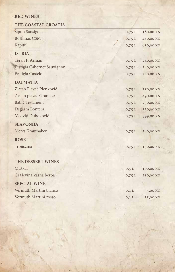| <b>RED WINES</b>            |          |           |
|-----------------------------|----------|-----------|
| THE COASTAL CROATIA         |          |           |
| Šipun Sansigot              | $0,75$ L | 180,00 KN |
| Boškinac CSM                | 0,75 L   | 480,00 KN |
| Kapitul                     | $0,75$ L | 650,00 KN |
| <b>ISTRIA</b>               |          |           |
| Teran F. Arman              | 0,75 L   | 240,00 KN |
| Festigia Cabernet Sauvignon | 0,75 L   | 240,00 KN |
| Festigia Castelo            | 0,75 L   | 240,00 KN |
| <b>DALMATIA</b>             |          |           |
| Zlatan Plavac Plenković     | 0,75 L   | 230,00 KN |
| Zlatan plavac Grand cru     | 0,75 L   | 490,00 KN |
| Babić Testament             | 0,75 L   | 230,00 KN |
| Degarra Bontera             | 0,75 L   | 330,00 KN |
| Medvid Duboković            | 0,75 L   | 999,00 KN |
| <b>SLAVONIJA</b>            |          |           |
| <b>Mercs Krauthaker</b>     | 0,75 L   | 240,00 KN |
| <b>ROSE</b>                 |          |           |
| Trojišćina                  | 0,75 L   | 150,00 KN |
|                             |          |           |
| THE DESSERT WINES           |          |           |
| Muškat                      | 0,5 L    | 190,00 KN |
| Graševina kasna berba       | $0,75$ L | 210,00 KN |
| <b>SPECIAL WINE</b>         |          |           |
| Vermuth Martini bianco      | $0,1$ L  | 35,00 KN  |
| Vermuth Martini rosso       | $0,1$ L  | 35,00 KN  |
|                             |          |           |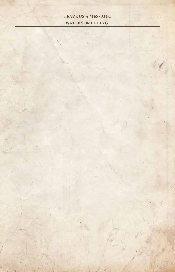### **LEAVE US A MESSAGE. WRITE SOMETHING.**

 $313$ 

 $\geq$ 

ä,

 $U$ 

×.

 $\mathbb{R}^{2\times 2}$ 

D. **Tast**